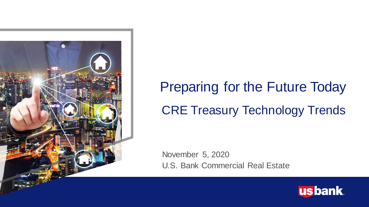

# Preparing for the Future Today CRE Treasury Technology Trends

November 5, 2020 U.S. Bank Commercial Real Estate

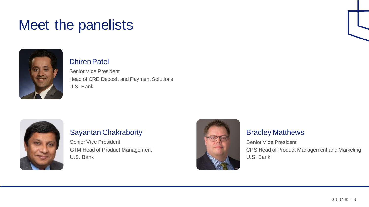### Meet the panelists



#### Dhiren Patel

Senior Vice President Head of CRE Deposit and Payment Solutions U.S. Bank



#### Sayantan Chakraborty

Senior Vice President GTM Head of Product Management U.S. Bank



#### Bradley Matthews

Senior Vice President CPS Head of Product Management and Marketing U.S. Bank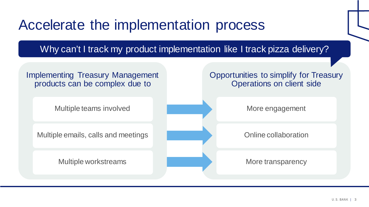### Accelerate the implementation process

Why can't I track my product implementation like I track pizza delivery?

#### Implementing Treasury Management products can be complex due to

Multiple teams involved

Multiple emails, calls and meetings

Multiple workstreams

#### Opportunities to simplify for Treasury Operations on client side

More engagement

Online collaboration

More transparency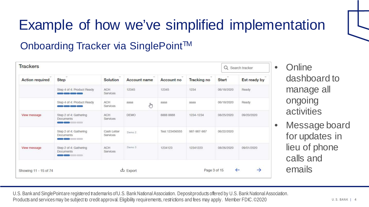# Example of how we've simplified implementation

### Onboarding Tracker via SinglePoint™

| <b>Action required</b> | $\sim$<br>Step                                                                    | Solution                      | Account name         | Account no     | <b>Tracking no</b> | <b>Start</b> | Est ready by |
|------------------------|-----------------------------------------------------------------------------------|-------------------------------|----------------------|----------------|--------------------|--------------|--------------|
|                        | Step 4 of 4: Product Ready                                                        | <b>ACH</b><br>Services        | 12345                | 12345          | 1234               | 06/18/2020   | Ready        |
|                        | Step 4 of 4: Product Ready<br><b>Contract Contract Contract Contract Contract</b> | ACH<br>Services               | азаа<br>$\mathbb{C}$ | aaaa           | аааа               | 06/18/2020   | Ready        |
| View message           | Step 2 of 4: Gathering<br><b>Documents</b>                                        | <b>ACH</b><br><b>Services</b> | DEMO                 | 8888 8888      | 1234-1234          | 08/25/2020   | 09/20/2020   |
|                        | Step 2 of 4: Gathering<br><b>Documents</b><br><u> a de la componenta</u>          | Cash Letter<br>Services       | Demo <sub>2</sub>    | Test 123456555 | 987-987-987        | 06/22/2020   |              |
| View message           | Step 2 of 4: Gathering<br><b>Documents</b><br>- 10-6 - 10-<br>$= 0$               | <b>ACH</b><br>Services        | Demo 3               | 1234123        | 12341223           | 08/26/2020   | 09/01/2020   |

- Online dashboard to manage all ongoing activities
- Message board for updates in lieu of phone calls and emails

U.S. Bank and SinglePoint are registered trademarks of U.S. Bank National Association. Deposit products offered by U.S. Bank National Association. Products and services may be subject to credit approval. Eligibility requirements, restrictions and fees may apply. Member FDIC. ©2020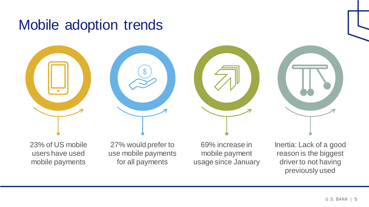### Mobile adoption trends



23% of US mobile users have used mobile payments

27% would prefer to use mobile payments for all payments

69% increase in mobile payment usage since January Inertia: Lack of a good reason is the biggest driver to not having previously used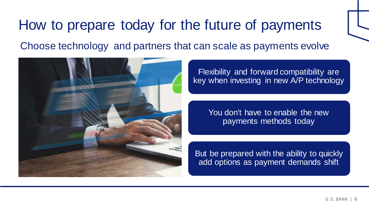## How to prepare today for the future of payments Choose technology and partners that can scale as payments evolve



Flexibility and forward compatibility are key when investing in new A/P technology

> You don't have to enable the new payments methods today

But be prepared with the ability to quickly add options as payment demands shift